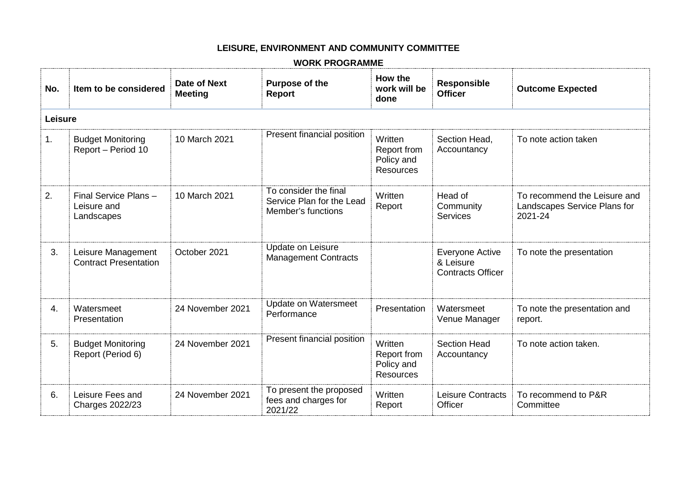## **LEISURE, ENVIRONMENT AND COMMUNITY COMMITTEE**

## **WORK PROGRAMME**

| No.     | Item to be considered                              | Date of Next<br><b>Meeting</b> | <b>Purpose of the</b><br><b>Report</b>                                   | How the<br>work will be<br>done                          | <b>Responsible</b><br><b>Officer</b>                            | <b>Outcome Expected</b>                                                 |
|---------|----------------------------------------------------|--------------------------------|--------------------------------------------------------------------------|----------------------------------------------------------|-----------------------------------------------------------------|-------------------------------------------------------------------------|
| Leisure |                                                    |                                |                                                                          |                                                          |                                                                 |                                                                         |
| 1.      | <b>Budget Monitoring</b><br>Report - Period 10     | 10 March 2021                  | Present financial position                                               | Written<br>Report from<br>Policy and<br><b>Resources</b> | Section Head,<br>Accountancy                                    | To note action taken                                                    |
| 2.      | Final Service Plans-<br>Leisure and<br>Landscapes  | 10 March 2021                  | To consider the final<br>Service Plan for the Lead<br>Member's functions | Written<br>Report                                        | Head of<br>Community<br>Services                                | To recommend the Leisure and<br>Landscapes Service Plans for<br>2021-24 |
| 3.      | Leisure Management<br><b>Contract Presentation</b> | October 2021                   | Update on Leisure<br><b>Management Contracts</b>                         |                                                          | <b>Everyone Active</b><br>& Leisure<br><b>Contracts Officer</b> | To note the presentation                                                |
| 4.      | Watersmeet<br>Presentation                         | 24 November 2021               | Update on Watersmeet<br>Performance                                      | Presentation                                             | Watersmeet<br>Venue Manager                                     | To note the presentation and<br>report.                                 |
| 5.      | <b>Budget Monitoring</b><br>Report (Period 6)      | 24 November 2021               | Present financial position                                               | Written<br>Report from<br>Policy and<br>Resources        | <b>Section Head</b><br>Accountancy                              | To note action taken.                                                   |
| 6.      | Leisure Fees and<br><b>Charges 2022/23</b>         | 24 November 2021               | To present the proposed<br>fees and charges for<br>2021/22               | Written<br>Report                                        | <b>Leisure Contracts</b><br>Officer                             | To recommend to P&R<br>Committee                                        |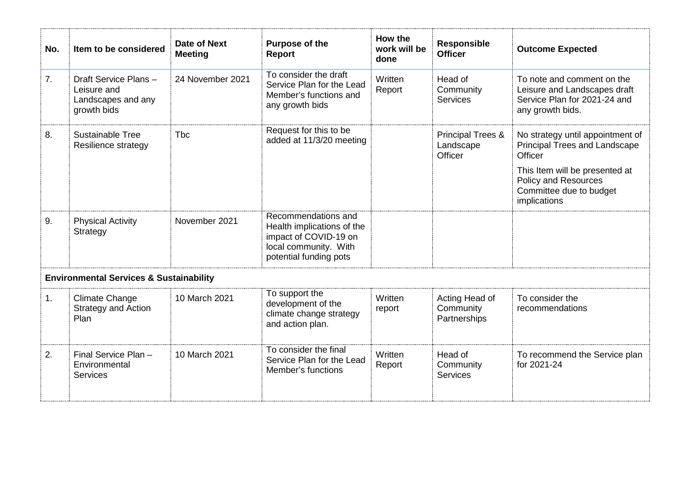| No. | Item to be considered                                                    | <b>Date of Next</b><br><b>Meeting</b> | <b>Purpose of the</b><br><b>Report</b>                                                                                        | How the<br>work will be<br>done | <b>Responsible</b><br><b>Officer</b>                 | <b>Outcome Expected</b>                                                                                                                                                                  |  |
|-----|--------------------------------------------------------------------------|---------------------------------------|-------------------------------------------------------------------------------------------------------------------------------|---------------------------------|------------------------------------------------------|------------------------------------------------------------------------------------------------------------------------------------------------------------------------------------------|--|
| 7.  | Draft Service Plans-<br>Leisure and<br>Landscapes and any<br>growth bids | 24 November 2021                      | To consider the draft<br>Service Plan for the Lead<br>Member's functions and<br>any growth bids                               | Written<br>Report               | Head of<br>Community<br>Services                     | To note and comment on the<br>Leisure and Landscapes draft<br>Service Plan for 2021-24 and<br>any growth bids.                                                                           |  |
| 8.  | <b>Sustainable Tree</b><br>Resilience strategy                           | <b>T</b> bc                           | Request for this to be<br>added at 11/3/20 meeting                                                                            |                                 | <b>Principal Trees &amp;</b><br>Landscape<br>Officer | No strategy until appointment of<br>Principal Trees and Landscape<br>Officer<br>This Item will be presented at<br><b>Policy and Resources</b><br>Committee due to budget<br>implications |  |
| 9.  | <b>Physical Activity</b><br>Strategy                                     | November 2021                         | Recommendations and<br>Health implications of the<br>impact of COVID-19 on<br>local community. With<br>potential funding pots |                                 |                                                      |                                                                                                                                                                                          |  |
|     | <b>Environmental Services &amp; Sustainability</b>                       |                                       |                                                                                                                               |                                 |                                                      |                                                                                                                                                                                          |  |
| 1.  | <b>Climate Change</b><br>Strategy and Action<br>Plan                     | 10 March 2021                         | To support the<br>development of the<br>climate change strategy<br>and action plan.                                           | Written<br>report               | Acting Head of<br>Community<br>Partnerships          | To consider the<br>recommendations                                                                                                                                                       |  |
| 2.  | Final Service Plan -<br>Environmental<br><b>Services</b>                 | 10 March 2021                         | To consider the final<br>Service Plan for the Lead<br>Member's functions                                                      | Written<br>Report               | Head of<br>Community<br><b>Services</b>              | To recommend the Service plan<br>for 2021-24                                                                                                                                             |  |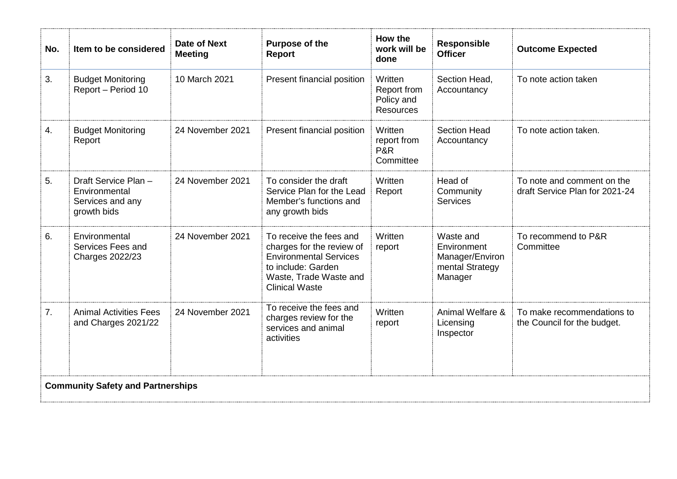| No.                                      | Item to be considered                                                    | <b>Date of Next</b><br><b>Meeting</b> | Purpose of the<br><b>Report</b>                                                                                                                                | How the<br>work will be<br>done                          | <b>Responsible</b><br><b>Officer</b>                                      | <b>Outcome Expected</b>                                      |
|------------------------------------------|--------------------------------------------------------------------------|---------------------------------------|----------------------------------------------------------------------------------------------------------------------------------------------------------------|----------------------------------------------------------|---------------------------------------------------------------------------|--------------------------------------------------------------|
| 3.                                       | <b>Budget Monitoring</b><br>Report - Period 10                           | 10 March 2021                         | Present financial position                                                                                                                                     | Written<br>Report from<br>Policy and<br><b>Resources</b> | Section Head,<br>Accountancy                                              | To note action taken                                         |
| 4.                                       | <b>Budget Monitoring</b><br>Report                                       | 24 November 2021                      | Present financial position                                                                                                                                     | Written<br>report from<br><b>P&amp;R</b><br>Committee    | <b>Section Head</b><br>Accountancy                                        | To note action taken.                                        |
| 5.                                       | Draft Service Plan -<br>Environmental<br>Services and any<br>growth bids | 24 November 2021                      | To consider the draft<br>Service Plan for the Lead<br>Member's functions and<br>any growth bids                                                                | Written<br>Report                                        | Head of<br>Community<br><b>Services</b>                                   | To note and comment on the<br>draft Service Plan for 2021-24 |
| 6.                                       | Environmental<br>Services Fees and<br><b>Charges 2022/23</b>             | 24 November 2021                      | To receive the fees and<br>charges for the review of<br><b>Environmental Services</b><br>to include: Garden<br>Waste, Trade Waste and<br><b>Clinical Waste</b> | Written<br>report                                        | Waste and<br>Environment<br>Manager/Environ<br>mental Strategy<br>Manager | To recommend to P&R<br>Committee                             |
| 7 <sub>1</sub>                           | <b>Animal Activities Fees</b><br>and Charges 2021/22                     | 24 November 2021                      | To receive the fees and<br>charges review for the<br>services and animal<br>activities                                                                         | Written<br>report                                        | Animal Welfare &<br>Licensing<br>Inspector                                | To make recommendations to<br>the Council for the budget.    |
| <b>Community Safety and Partnerships</b> |                                                                          |                                       |                                                                                                                                                                |                                                          |                                                                           |                                                              |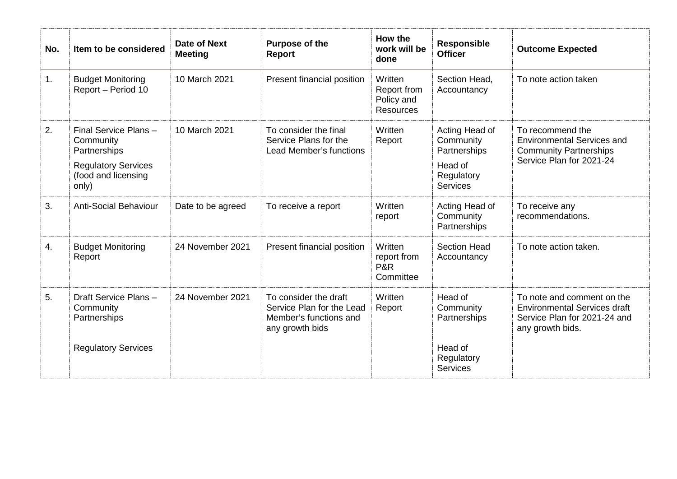| No. | Item to be considered                                                                                           | <b>Date of Next</b><br><b>Meeting</b> | Purpose of the<br>Report                                                                        | How the<br>work will be<br>done                          | <b>Responsible</b><br><b>Officer</b>                                                    | <b>Outcome Expected</b>                                                                                               |
|-----|-----------------------------------------------------------------------------------------------------------------|---------------------------------------|-------------------------------------------------------------------------------------------------|----------------------------------------------------------|-----------------------------------------------------------------------------------------|-----------------------------------------------------------------------------------------------------------------------|
| 1.  | <b>Budget Monitoring</b><br>Report - Period 10                                                                  | 10 March 2021                         | Present financial position                                                                      | Written<br>Report from<br>Policy and<br><b>Resources</b> | Section Head,<br>Accountancy                                                            | To note action taken                                                                                                  |
| 2.  | Final Service Plans-<br>Community<br>Partnerships<br><b>Regulatory Services</b><br>(food and licensing<br>only) | 10 March 2021                         | To consider the final<br>Service Plans for the<br>Lead Member's functions                       | Written<br>Report                                        | Acting Head of<br>Community<br>Partnerships<br>Head of<br>Regulatory<br><b>Services</b> | To recommend the<br><b>Environmental Services and</b><br><b>Community Partnerships</b><br>Service Plan for 2021-24    |
| 3.  | <b>Anti-Social Behaviour</b>                                                                                    | Date to be agreed                     | To receive a report                                                                             | Written<br>report                                        | Acting Head of<br>Community<br>Partnerships                                             | To receive any<br>recommendations.                                                                                    |
| 4.  | <b>Budget Monitoring</b><br>Report                                                                              | 24 November 2021                      | Present financial position                                                                      | Written<br>report from<br><b>P&amp;R</b><br>Committee    | <b>Section Head</b><br>Accountancy                                                      | To note action taken.                                                                                                 |
| 5.  | Draft Service Plans-<br>Community<br>Partnerships                                                               | 24 November 2021                      | To consider the draft<br>Service Plan for the Lead<br>Member's functions and<br>any growth bids | Written<br>Report                                        | Head of<br>Community<br>Partnerships                                                    | To note and comment on the<br><b>Environmental Services draft</b><br>Service Plan for 2021-24 and<br>any growth bids. |
|     | <b>Regulatory Services</b>                                                                                      |                                       |                                                                                                 |                                                          | Head of<br>Regulatory<br><b>Services</b>                                                |                                                                                                                       |